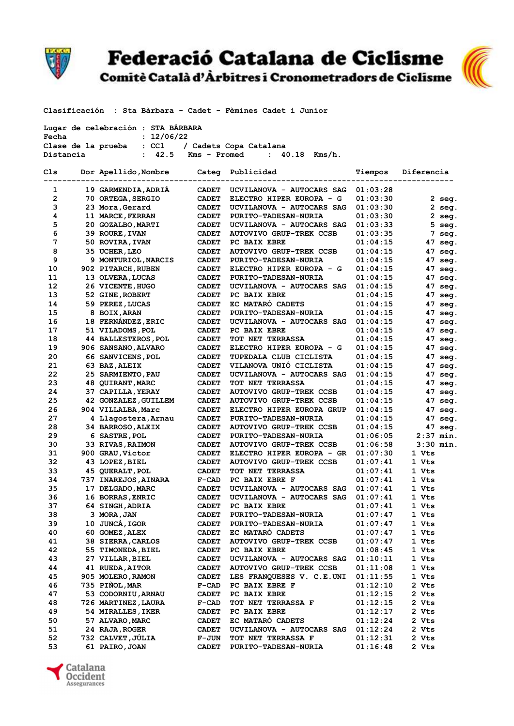

Federació Catalana de Ciclisme<br>Comitè Català d'Àrbitres i Cronometradors de Ciclisme



Clasificación : Sta Bàrbara - Cadet - Fèmines Cadet i Junior

| Lugar de celebración : STA BARBARA |                                        |
|------------------------------------|----------------------------------------|
| Fecha                              | : 12/06/22                             |
| Clase de la prueba                 | : CC1 / Cadets Copa Catalana           |
| Distancia                          | $: 42.5$ Kms – Promed $: 40.18$ Kms/h. |

| Cls            | Dor Apellido, Nombre       | Categ        | Publicidad                     | Tiempos  | Diferencia        |
|----------------|----------------------------|--------------|--------------------------------|----------|-------------------|
|                |                            |              |                                |          |                   |
| 1              | 19 GARMENDIA, ADRIA        | <b>CADET</b> | UCVILANOVA - AUTOCARS SAG      | 01:03:28 |                   |
| $\overline{2}$ | 70 ORTEGA, SERGIO          | <b>CADET</b> | ELECTRO HIPER EUROPA - G       | 01:03:30 | 2 seg.            |
| 3              | 23 Mora, Gerard            | <b>CADET</b> | UCVILANOVA - AUTOCARS SAG      | 01:03:30 | $2$ seg.          |
| 4              | 11 MARCE, FERRAN           | <b>CADET</b> | <b>PURITO-TADESAN-NURIA</b>    | 01:03:30 | 2 seg.            |
| 5              | 20 GOZALBO, MARTI          | <b>CADET</b> | UCVILANOVA - AUTOCARS SAG      | 01:03:33 | 5<br>seg.         |
| 6              | 39 ROURE, IVAN             | <b>CADET</b> | <b>AUTOVIVO GRUP-TREK CCSB</b> | 01:03:35 | 7<br>seg.         |
| 7              | 50 ROVIRA, IVAN            | <b>CADET</b> | <b>PC BAIX EBRE</b>            | 01:04:15 | 47<br>seg.        |
| 8              | 35 UCHER, LEO              | <b>CADET</b> | <b>AUTOVIVO GRUP-TREK CCSB</b> | 01:04:15 | 47 seg.           |
| 9              | 9 MONTURIOL, NARCIS        | <b>CADET</b> | <b>PURITO-TADESAN-NURIA</b>    | 01:04:15 | 47<br>seq.        |
| 10             | 902 PITARCH, RUBEN         | <b>CADET</b> | ELECTRO HIPER EUROPA - G       | 01:04:15 | 47<br>seg.        |
| 11             | 13 OLVERA, LUCAS           | <b>CADET</b> | <b>PURITO-TADESAN-NURIA</b>    | 01:04:15 | 47 seg.           |
| 12             | 26 VICENTE, HUGO           | <b>CADET</b> | UCVILANOVA - AUTOCARS SAG      | 01:04:15 | 47<br>seg.        |
| 13             | 52 GINE, ROBERT            | <b>CADET</b> | PC BAIX EBRE                   | 01:04:15 | 47<br>seq.        |
| 14             | 59 PEREZ, LUCAS            | <b>CADET</b> | EC MATARO CADETS               | 01:04:15 | 47 seg.           |
| 15             | 8 BOIX, ARAN               | <b>CADET</b> | <b>PURITO-TADESAN-NURIA</b>    | 01:04:15 | 47 seg.           |
| 16             | 18 FERNANDEZ, ERIC         | <b>CADET</b> | UCVILANOVA - AUTOCARS SAG      | 01:04:15 | 47 seg.           |
| 17             | 51 VILADOMS, POL           | <b>CADET</b> | PC BAIX EBRE                   | 01:04:15 | 47<br>seg.        |
| 18             | <b>44 BALLESTEROS, POL</b> | <b>CADET</b> | <b>TOT NET TERRASSA</b>        | 01:04:15 | 47<br>seg.        |
| 19             | 906 SANSANO, ALVARO        | <b>CADET</b> | ELECTRO HIPER EUROPA - G       | 01:04:15 | 47<br>seq.        |
| 20             | 66 SANVICENS, POL          | <b>CADET</b> | TUPEDALA CLUB CICLISTA         | 01:04:15 | $47 \text{ seq.}$ |
| 21             | 63 BAZ, ALEIX              | <b>CADET</b> | VILANOVA UNIO CICLISTA         | 01:04:15 | 47 seg.           |
| 22             | 25 SARMIENTO, PAU          | <b>CADET</b> | UCVILANOVA - AUTOCARS SAG      | 01:04:15 | 47<br>seg.        |
| 23             | <b>48 QUIRANT, MARC</b>    | <b>CADET</b> | TOT NET TERRASSA               | 01:04:15 | 47<br>seq.        |
| 24             | 37 CAPILLA, YERAY          | <b>CADET</b> | <b>AUTOVIVO GRUP-TREK CCSB</b> | 01:04:15 | 47<br>seg.        |
| 25             | 42 GONZALEZ, GUILLEM       | <b>CADET</b> | <b>AUTOVIVO GRUP-TREK CCSB</b> | 01:04:15 | 47<br>seg.        |
| 26             | 904 VILLALBA, Marc         | <b>CADET</b> | ELECTRO HIPER EUROPA GRUP      | 01:04:15 | 47<br>seg.        |
| 27             | 4 Llagostera, Arnau        | <b>CADET</b> | <b>PURITO-TADESAN-NURIA</b>    | 01:04:15 | 47 seg.           |
| 28             | 34 BARROSO, ALEIX          | <b>CADET</b> | <b>AUTOVIVO GRUP-TREK CCSB</b> | 01:04:15 | 47 seg.           |
| 29             | 6 SASTRE, POL              | <b>CADET</b> | <b>PURITO-TADESAN-NURIA</b>    | 01:06:05 | $2:37$ min.       |
| 30             | <b>33 RIVAS, RAIMON</b>    | <b>CADET</b> | <b>AUTOVIVO GRUP-TREK CCSB</b> | 01:06:58 | $3:30$ min.       |
| 31             | 900 GRAU, Victor           | <b>CADET</b> | ELECTRO HIPER EUROPA - GR      | 01:07:30 | 1 Vts             |
| 32             |                            | <b>CADET</b> | <b>AUTOVIVO GRUP-TREK CCSB</b> | 01:07:41 | 1 Vts             |
| 33             | 43 LOPEZ, BIEL             | <b>CADET</b> | <b>TOT NET TERRASSA</b>        | 01:07:41 | 1 Vts             |
| 34             | 45 QUERALT, POL            |              |                                |          |                   |
|                | 737 INAREJOS, AINARA       | $F-CAD$      | PC BAIX EBRE F                 | 01:07:41 | 1 Vts             |
| 35             | 17 DELGADO, MARC           | <b>CADET</b> | UCVILANOVA - AUTOCARS SAG      | 01:07:41 | 1 Vts             |
| 36             | 16 BORRAS, ENRIC           | <b>CADET</b> | UCVILANOVA - AUTOCARS SAG      | 01:07:41 | 1 Vts             |
| 37             | 64 SINGH, ADRIA            | <b>CADET</b> | <b>PC BAIX EBRE</b>            | 01:07:41 | 1 Vts             |
| 38             | 3 MORA, JAN                | <b>CADET</b> | PURITO-TADESAN-NURIA           | 01:07:47 | 1 Vts             |
| 39             | 10 JUNCÀ, IGOR             | <b>CADET</b> | <b>PURITO-TADESAN-NURIA</b>    | 01:07:47 | 1 Vts             |
| 40             | 60 GOMEZ, ALEX             | <b>CADET</b> | EC MATARO CADETS               | 01:07:47 | 1 Vts             |
| 41             | 38 SIERRA, CARLOS          | <b>CADET</b> | <b>AUTOVIVO GRUP-TREK CCSB</b> | 01:07:47 | 1 Vts             |
| 42             | 55 TIMONEDA, BIEL          | <b>CADET</b> | PC BAIX EBRE                   | 01:08:45 | 1 Vts             |
| 43             | 27 VILLAR, BIEL            | <b>CADET</b> | UCVILANOVA - AUTOCARS SAG      | 01:10:11 | 1 Vts             |
| 44             | 41 RUEDA, AITOR            | <b>CADET</b> | <b>AUTOVIVO GRUP-TREK CCSB</b> | 01:11:08 | 1 Vts             |
| 45             | 905 MOLERO, RAMON          | <b>CADET</b> | LES FRANQUESES V. C.E.UNI      | 01:11:55 | 1 Vts             |
| 46             | 735 PIÑOL, MAR             | $F-CAD$      | PC BAIX EBRE F                 | 01:12:10 | 2 Vts             |
| 47             | 53 CODORNIU, ARNAU         | <b>CADET</b> | PC BAIX EBRE                   | 01:12:15 | 2 Vts             |
| 48             | 726 MARTINEZ, LAURA        | $F-CAD$      | TOT NET TERRASSA F             | 01:12:15 | 2 Vts             |
| 49             | 54 MIRALLES, IKER          | <b>CADET</b> | PC BAIX EBRE                   | 01:12:17 | 2 Vts             |
| 50             | 57 ALVARO, MARC            | <b>CADET</b> | EC MATARÓ CADETS               | 01:12:24 | 2 Vts             |
| 51             | 24 RAJA, ROGER             | <b>CADET</b> | UCVILANOVA - AUTOCARS SAG      | 01:12:24 | 2 Vts             |
| 52             | 732 CALVET, JÚLIA          | <b>F-JUN</b> | TOT NET TERRASSA F             | 01:12:31 | 2 Vts             |
| 53             | 61 PAIRO, JOAN             | <b>CADET</b> | <b>PURITO-TADESAN-NURIA</b>    | 01:16:48 | 2 Vts             |
|                |                            |              |                                |          |                   |

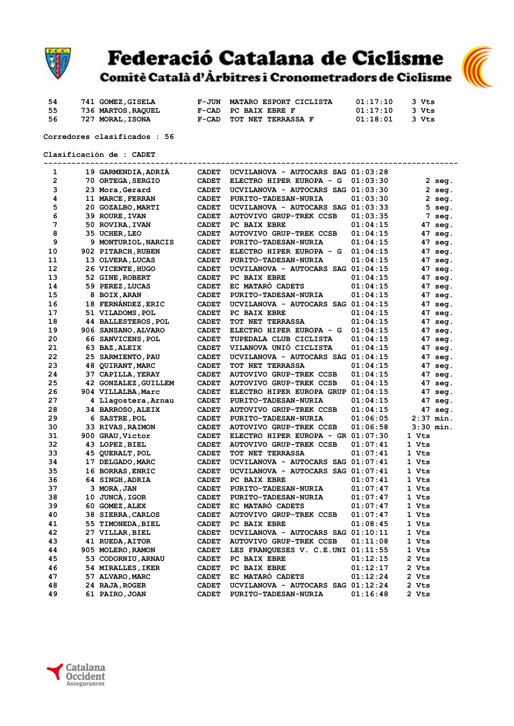

## **Federació Catalana de Ciclisme**



| 54  | 741 GOMEZ, GISELA | F-JUN MATARO ESPORT CICLISTA | 01:17:10 | 3 Vts |
|-----|-------------------|------------------------------|----------|-------|
| 55. | 736 MARTOS,RAQUEL | F-CAD PC BAIX EBRE F         | 01:17:10 | 3 Vts |
| 56  | 727 MORAL,ISONA   | F-CAD TOT NET TERRASSA F     | 01:18:01 | 3 Vts |

Corredores clasificados : 56

Clasificación de : CADET

|                |                                    |              | -------------------------------      |          |                   |  |
|----------------|------------------------------------|--------------|--------------------------------------|----------|-------------------|--|
| 1              | 19 GARMENDIA, ADRIA                | <b>CADET</b> | UCVILANOVA - AUTOCARS SAG 01:03:28   |          |                   |  |
| $\overline{2}$ | 70 ORTEGA, SERGIO                  | <b>CADET</b> | ELECTRO HIPER EUROPA - G             | 01:03:30 | 2 seg.            |  |
| 3              | 23 Mora, Gerard                    | <b>CADET</b> | UCVILANOVA - AUTOCARS SAG 01:03:30   |          | $2 \text{ seg.}$  |  |
| 4              | 11 MARCE, FERRAN                   | <b>CADET</b> | PURITO-TADESAN-NURIA                 | 01:03:30 | $2$ seg.          |  |
| 5              | 20 GOZALBO, MARTI                  | <b>CADET</b> | UCVILANOVA - AUTOCARS SAG 01:03:33   |          | $5$ seg.          |  |
| 6              | 39 ROURE, IVAN                     | <b>CADET</b> | <b>AUTOVIVO GRUP-TREK CCSB</b>       | 01:03:35 | 7 seg.            |  |
| 7              | 50 ROVIRA, IVAN                    | <b>CADET</b> | PC BAIX EBRE                         | 01:04:15 | 47 seg.           |  |
| 8              | 35 UCHER, LEO                      | <b>CADET</b> | <b>AUTOVIVO GRUP-TREK CCSB</b>       | 01:04:15 | 47 seg.           |  |
| 9              | 9 MONTURIOL, NARCIS                | <b>CADET</b> | PURITO-TADESAN-NURIA                 | 01:04:15 | 47 seg.           |  |
| 10             | 902 PITARCH, RUBEN                 | <b>CADET</b> | ELECTRO HIPER EUROPA - G             | 01:04:15 | 47 seg.           |  |
| 11             | 13 OLVERA, LUCAS                   | <b>CADET</b> | <b>PURITO-TADESAN-NURIA</b>          | 01:04:15 | 47 seg.           |  |
| 12             | 26 VICENTE, HUGO                   | <b>CADET</b> | UCVILANOVA - AUTOCARS SAG 01:04:15   |          | 47 seg.           |  |
| 13             | 52 GINE, ROBERT                    | <b>CADET</b> | PC BAIX EBRE                         | 01:04:15 | 47 seg.           |  |
| 14             | 59 PEREZ, LUCAS                    | <b>CADET</b> | EC MATARO CADETS                     | 01:04:15 | 47 seg.           |  |
| 15             | 8 BOIX, ARAN                       | <b>CADET</b> | <b>PURITO-TADESAN-NURIA</b>          | 01:04:15 | 47 seg.           |  |
| 16             | 18 FERNÁNDEZ, ERIC                 | <b>CADET</b> | UCVILANOVA - AUTOCARS SAG 01:04:15   |          | 47 seg.           |  |
| 17             | 51 VILADOMS, POL                   | <b>CADET</b> | PC BAIX EBRE                         | 01:04:15 | $47 \text{ seq.}$ |  |
| 18             | <b>44 BALLESTEROS, POL</b>         | <b>CADET</b> | TOT NET TERRASSA                     | 01:04:15 | 47 seg.           |  |
| 19             | 906 SANSANO, ALVARO                | <b>CADET</b> | ELECTRO HIPER EUROPA - G             | 01:04:15 | 47 seg.           |  |
| 20             | 66 SANVICENS, POL                  | <b>CADET</b> | TUPEDALA CLUB CICLISTA               | 01:04:15 | 47 seg.           |  |
| 21             | 63 BAZ, ALEIX                      | <b>CADET</b> | VILANOVA UNIO CICLISTA               | 01:04:15 | $47 \text{ seq.}$ |  |
| 22             | 25 SARMIENTO, PAU                  | <b>CADET</b> | UCVILANOVA - AUTOCARS SAG 01:04:15   |          | 47 seg.           |  |
| 23             | 48 QUIRANT, MARC                   | <b>CADET</b> | TOT NET TERRASSA                     | 01:04:15 | 47 seg.           |  |
| 24             | 37 CAPILLA, YERAY                  | <b>CADET</b> | <b>AUTOVIVO GRUP-TREK CCSB</b>       | 01:04:15 | 47 seg.           |  |
| 25             | 42 GONZALEZ, GUILLEM               | <b>CADET</b> | <b>AUTOVIVO GRUP-TREK CCSB</b>       | 01:04:15 | $47 \text{ seq.}$ |  |
| 26             | 904 VILLALBA, Marc                 | <b>CADET</b> | ELECTRO HIPER EUROPA GRUP 01:04:15   |          | 47 seg.           |  |
| 27             | 4 Llagostera, Arnau                | <b>CADET</b> | PURITO-TADESAN-NURIA                 | 01:04:15 | 47 seg.           |  |
| 28             | 34 BARROSO, ALEIX                  | <b>CADET</b> | <b>AUTOVIVO GRUP-TREK CCSB</b>       | 01:04:15 | 47 seg.           |  |
| 29             | 6 SASTRE, POL                      | <b>CADET</b> | <b>PURITO-TADESAN-NURIA</b>          | 01:06:05 | $2:37$ min.       |  |
| 30             | 33 RIVAS, RAIMON                   | <b>CADET</b> | <b>AUTOVIVO GRUP-TREK CCSB</b>       | 01:06:58 | $3:30$ min.       |  |
| 31             | 900 GRAU, Victor                   | <b>CADET</b> | ELECTRO HIPER EUROPA - GR $01:07:30$ |          | 1 Vts             |  |
| 32             | 43 LOPEZ, BIEL                     | <b>CADET</b> | <b>AUTOVIVO GRUP-TREK CCSB</b>       | 01:07:41 | 1 Vts             |  |
| 33             | 45 QUERALT, POL                    | <b>CADET</b> | TOT NET TERRASSA                     | 01:07:41 | 1 Vts             |  |
| 34             | 17 DELGADO, MARC                   | <b>CADET</b> | UCVILANOVA - AUTOCARS SAG 01:07:41   |          | 1 Vts             |  |
| 35             | 16 BORRAS, ENRIC                   | <b>CADET</b> | UCVILANOVA - AUTOCARS SAG 01:07:41   |          | 1 Vts             |  |
| 36             | 64 SINGH, ADRIA                    | <b>CADET</b> | PC BAIX EBRE                         | 01:07:41 | 1 Vts             |  |
| 37             | 3 MORA, JAN                        | <b>CADET</b> | PURITO-TADESAN-NURIA                 | 01:07:47 | 1 Vts             |  |
| 38             | 10 JUNCA, IGOR                     | <b>CADET</b> | <b>PURITO-TADESAN-NURIA</b>          | 01:07:47 | 1 Vts             |  |
| 39             | 60 GOMEZ, ALEX                     | <b>CADET</b> | EC MATARO CADETS                     | 01:07:47 | 1 Vts             |  |
| 40             | 38 SIERRA, CARLOS                  | <b>CADET</b> | <b>AUTOVIVO GRUP-TREK CCSB</b>       | 01:07:47 | 1 Vts             |  |
| 41             | 55 TIMONEDA, BIEL                  | <b>CADET</b> | PC BAIX EBRE                         | 01:08:45 | 1 Vts             |  |
| 42             |                                    | <b>CADET</b> | UCVILANOVA - AUTOCARS SAG 01:10:11   |          | 1 Vts             |  |
| 43             | 27 VILLAR, BIEL<br>41 RUEDA, AITOR | <b>CADET</b> | <b>AUTOVIVO GRUP-TREK CCSB</b>       | 01:11:08 | 1 Vts             |  |
| 44             | 905 MOLERO, RAMON                  | <b>CADET</b> | LES FRANQUESES V. C.E.UNI 01:11:55   |          | 1 Vts             |  |
| 45             | 53 CODORNIU, ARNAU                 | <b>CADET</b> | PC BAIX EBRE                         | 01:12:15 | 2 Vts             |  |
| 46             |                                    | <b>CADET</b> | PC BAIX EBRE                         | 01:12:17 | 2 Vts             |  |
| 47             | 54 MIRALLES, IKER                  | <b>CADET</b> | EC MATARO CADETS                     | 01:12:24 | 2 Vts             |  |
| 48             | 57 ALVARO, MARC                    | <b>CADET</b> | UCVILANOVA - AUTOCARS SAG 01:12:24   |          | 2 Vts             |  |
|                | 24 RAJA, ROGER                     |              |                                      |          |                   |  |
| 49             | 61 PAIRO, JOAN                     | <b>CADET</b> | PURITO-TADESAN-NURIA                 | 01:16:48 | 2 Vts             |  |